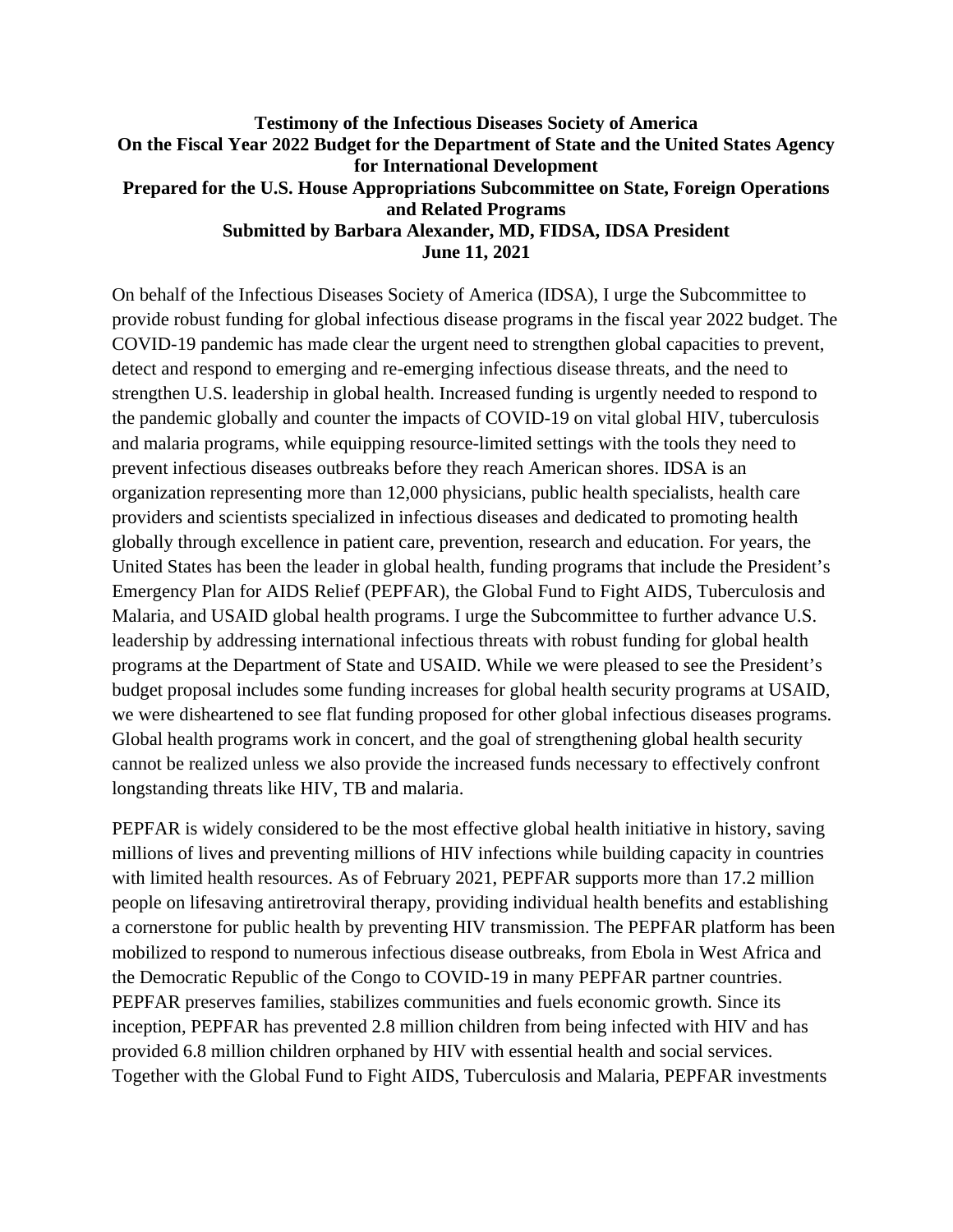## **Testimony of the Infectious Diseases Society of America On the Fiscal Year 2022 Budget for the Department of State and the United States Agency for International Development Prepared for the U.S. House Appropriations Subcommittee on State, Foreign Operations and Related Programs Submitted by Barbara Alexander, MD, FIDSA, IDSA President June 11, 2021**

On behalf of the Infectious Diseases Society of America (IDSA), I urge the Subcommittee to provide robust funding for global infectious disease programs in the fiscal year 2022 budget. The COVID-19 pandemic has made clear the urgent need to strengthen global capacities to prevent, detect and respond to emerging and re-emerging infectious disease threats, and the need to strengthen U.S. leadership in global health. Increased funding is urgently needed to respond to the pandemic globally and counter the impacts of COVID-19 on vital global HIV, tuberculosis and malaria programs, while equipping resource-limited settings with the tools they need to prevent infectious diseases outbreaks before they reach American shores. IDSA is an organization representing more than 12,000 physicians, public health specialists, health care providers and scientists specialized in infectious diseases and dedicated to promoting health globally through excellence in patient care, prevention, research and education. For years, the United States has been the leader in global health, funding programs that include the President's Emergency Plan for AIDS Relief (PEPFAR), the Global Fund to Fight AIDS, Tuberculosis and Malaria, and USAID global health programs. I urge the Subcommittee to further advance U.S. leadership by addressing international infectious threats with robust funding for global health programs at the Department of State and USAID. While we were pleased to see the President's budget proposal includes some funding increases for global health security programs at USAID, we were disheartened to see flat funding proposed for other global infectious diseases programs. Global health programs work in concert, and the goal of strengthening global health security cannot be realized unless we also provide the increased funds necessary to effectively confront longstanding threats like HIV, TB and malaria.

PEPFAR is widely considered to be the most effective global health initiative in history, saving millions of lives and preventing millions of HIV infections while building capacity in countries with limited health resources. As of February 2021, PEPFAR supports more than 17.2 million people on lifesaving antiretroviral therapy, providing individual health benefits and establishing a cornerstone for public health by preventing HIV transmission. The PEPFAR platform has been mobilized to respond to numerous infectious disease outbreaks, from Ebola in West Africa and the Democratic Republic of the Congo to COVID-19 in many PEPFAR partner countries. PEPFAR preserves families, stabilizes communities and fuels economic growth. Since its inception, PEPFAR has prevented 2.8 million children from being infected with HIV and has provided 6.8 million children orphaned by HIV with essential health and social services. Together with the Global Fund to Fight AIDS, Tuberculosis and Malaria, PEPFAR investments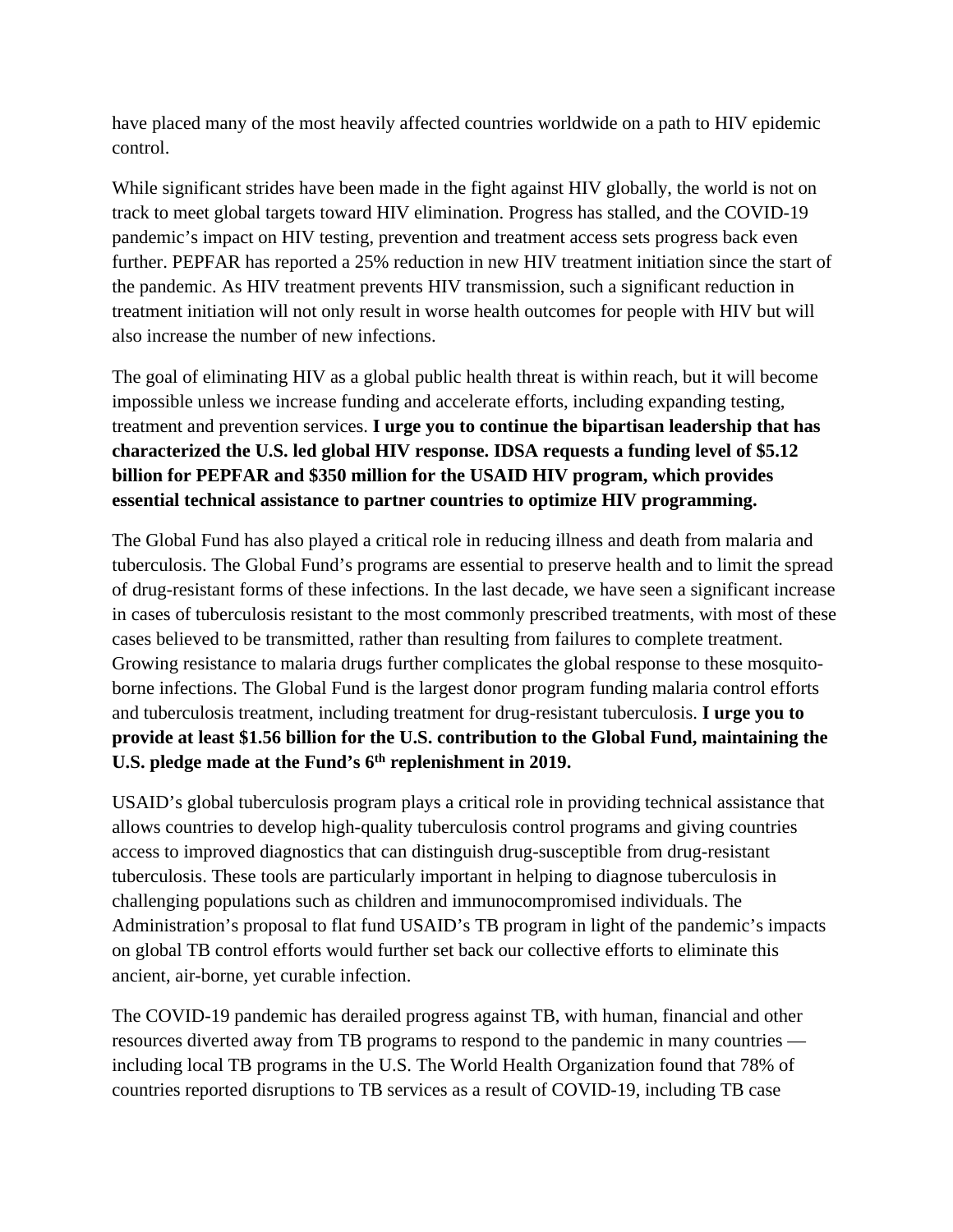have placed many of the most heavily affected countries worldwide on a path to HIV epidemic control.

While significant strides have been made in the fight against HIV globally, the world is not on track to meet global targets toward HIV elimination. Progress has stalled, and the COVID-19 pandemic's impact on HIV testing, prevention and treatment access sets progress back even further. PEPFAR has reported a 25% reduction in new HIV treatment initiation since the start of the pandemic. As HIV treatment prevents HIV transmission, such a significant reduction in treatment initiation will not only result in worse health outcomes for people with HIV but will also increase the number of new infections.

The goal of eliminating HIV as a global public health threat is within reach, but it will become impossible unless we increase funding and accelerate efforts, including expanding testing, treatment and prevention services. **I urge you to continue the bipartisan leadership that has characterized the U.S. led global HIV response. IDSA requests a funding level of \$5.12 billion for PEPFAR and \$350 million for the USAID HIV program, which provides essential technical assistance to partner countries to optimize HIV programming.**

The Global Fund has also played a critical role in reducing illness and death from malaria and tuberculosis. The Global Fund's programs are essential to preserve health and to limit the spread of drug-resistant forms of these infections. In the last decade, we have seen a significant increase in cases of tuberculosis resistant to the most commonly prescribed treatments, with most of these cases believed to be transmitted, rather than resulting from failures to complete treatment. Growing resistance to malaria drugs further complicates the global response to these mosquitoborne infections. The Global Fund is the largest donor program funding malaria control efforts and tuberculosis treatment, including treatment for drug-resistant tuberculosis. **I urge you to provide at least \$1.56 billion for the U.S. contribution to the Global Fund, maintaining the**  U.S. pledge made at the Fund's 6<sup>th</sup> replenishment in 2019.

USAID's global tuberculosis program plays a critical role in providing technical assistance that allows countries to develop high-quality tuberculosis control programs and giving countries access to improved diagnostics that can distinguish drug-susceptible from drug-resistant tuberculosis. These tools are particularly important in helping to diagnose tuberculosis in challenging populations such as children and immunocompromised individuals. The Administration's proposal to flat fund USAID's TB program in light of the pandemic's impacts on global TB control efforts would further set back our collective efforts to eliminate this ancient, air-borne, yet curable infection.

The COVID-19 pandemic has derailed progress against TB, with human, financial and other resources diverted away from TB programs to respond to the pandemic in many countries including local TB programs in the U.S. The World Health Organization found that 78% of countries reported disruptions to TB services as a result of COVID-19, including TB case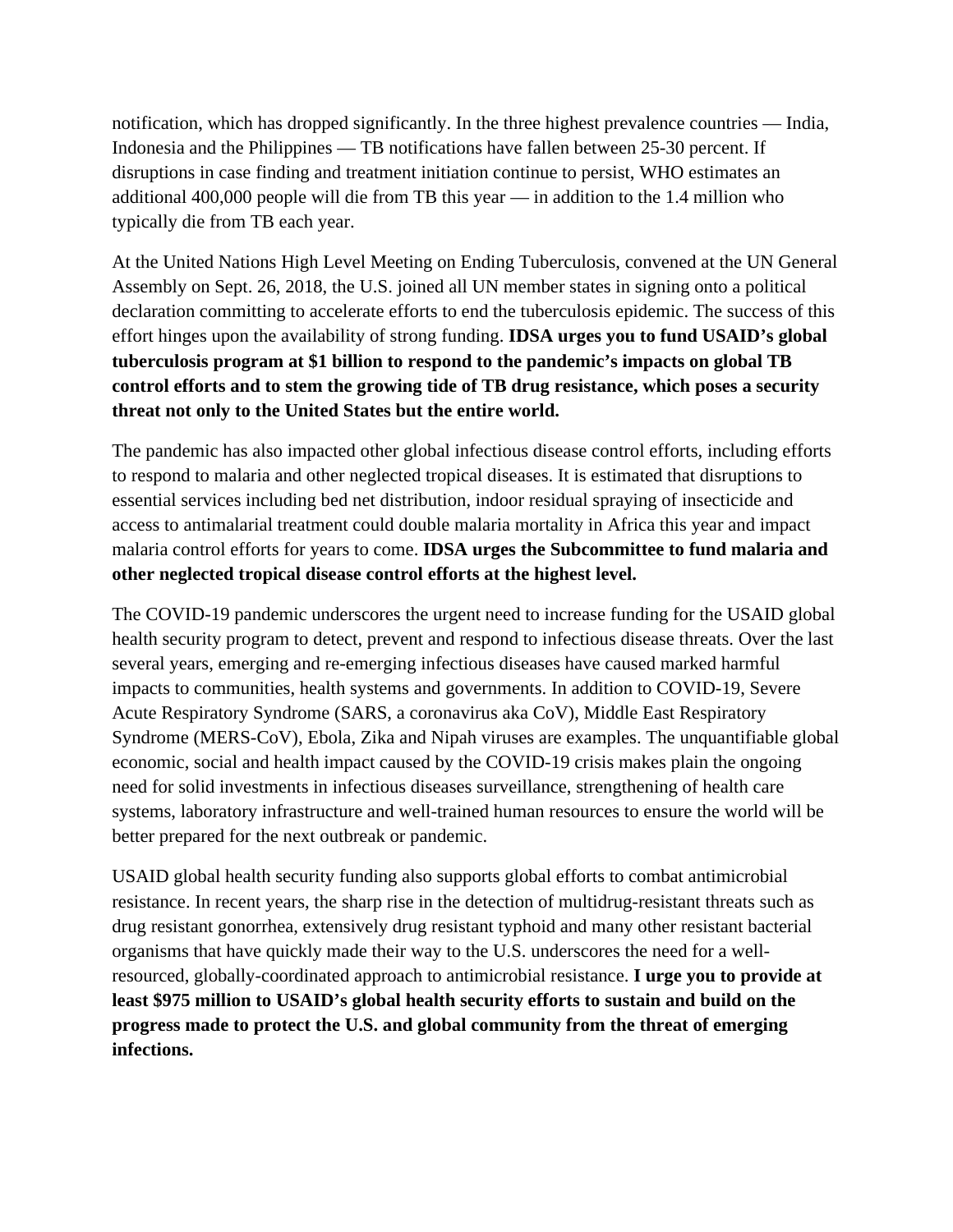notification, which has dropped significantly. In the three highest prevalence countries — India, Indonesia and the Philippines — TB notifications have fallen between 25-30 percent. If disruptions in case finding and treatment initiation continue to persist, WHO estimates an additional 400,000 people will die from TB this year — in addition to the 1.4 million who typically die from TB each year.

At the United Nations High Level Meeting on Ending Tuberculosis, convened at the UN General Assembly on Sept. 26, 2018, the U.S. joined all UN member states in signing onto a political declaration committing to accelerate efforts to end the tuberculosis epidemic. The success of this effort hinges upon the availability of strong funding. **IDSA urges you to fund USAID's global tuberculosis program at \$1 billion to respond to the pandemic's impacts on global TB control efforts and to stem the growing tide of TB drug resistance, which poses a security threat not only to the United States but the entire world.**

The pandemic has also impacted other global infectious disease control efforts, including efforts to respond to malaria and other neglected tropical diseases. It is estimated that disruptions to essential services including bed net distribution, indoor residual spraying of insecticide and access to antimalarial treatment could double malaria mortality in Africa this year and impact malaria control efforts for years to come. **IDSA urges the Subcommittee to fund malaria and other neglected tropical disease control efforts at the highest level.**

The COVID-19 pandemic underscores the urgent need to increase funding for the USAID global health security program to detect, prevent and respond to infectious disease threats. Over the last several years, emerging and re-emerging infectious diseases have caused marked harmful impacts to communities, health systems and governments. In addition to COVID-19, Severe Acute Respiratory Syndrome (SARS, a coronavirus aka CoV), Middle East Respiratory Syndrome (MERS-CoV), Ebola, Zika and Nipah viruses are examples. The unquantifiable global economic, social and health impact caused by the COVID-19 crisis makes plain the ongoing need for solid investments in infectious diseases surveillance, strengthening of health care systems, laboratory infrastructure and well-trained human resources to ensure the world will be better prepared for the next outbreak or pandemic.

USAID global health security funding also supports global efforts to combat antimicrobial resistance. In recent years, the sharp rise in the detection of multidrug-resistant threats such as drug resistant gonorrhea, extensively drug resistant typhoid and many other resistant bacterial organisms that have quickly made their way to the U.S. underscores the need for a wellresourced, globally-coordinated approach to antimicrobial resistance. **I urge you to provide at least \$975 million to USAID's global health security efforts to sustain and build on the progress made to protect the U.S. and global community from the threat of emerging infections.**